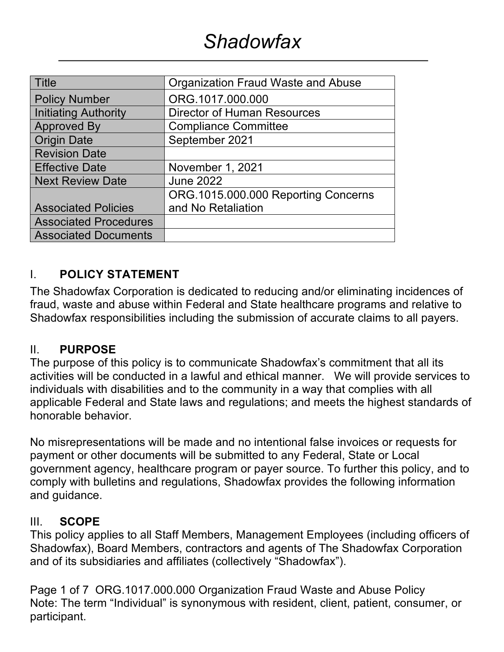| <b>Title</b>                 | Organization Fraud Waste and Abuse  |  |  |
|------------------------------|-------------------------------------|--|--|
| <b>Policy Number</b>         | ORG.1017.000.000                    |  |  |
| <b>Initiating Authority</b>  | <b>Director of Human Resources</b>  |  |  |
| <b>Approved By</b>           | <b>Compliance Committee</b>         |  |  |
| <b>Origin Date</b>           | September 2021                      |  |  |
| <b>Revision Date</b>         |                                     |  |  |
| <b>Effective Date</b>        | November 1, 2021                    |  |  |
| <b>Next Review Date</b>      | <b>June 2022</b>                    |  |  |
|                              | ORG.1015.000.000 Reporting Concerns |  |  |
| <b>Associated Policies</b>   | and No Retaliation                  |  |  |
| <b>Associated Procedures</b> |                                     |  |  |
| <b>Associated Documents</b>  |                                     |  |  |

#### I. **POLICY STATEMENT**

The Shadowfax Corporation is dedicated to reducing and/or eliminating incidences of fraud, waste and abuse within Federal and State healthcare programs and relative to Shadowfax responsibilities including the submission of accurate claims to all payers.

#### II. **PURPOSE**

The purpose of this policy is to communicate Shadowfax's commitment that all its activities will be conducted in a lawful and ethical manner. We will provide services to individuals with disabilities and to the community in a way that complies with all applicable Federal and State laws and regulations; and meets the highest standards of honorable behavior.

No misrepresentations will be made and no intentional false invoices or requests for payment or other documents will be submitted to any Federal, State or Local government agency, healthcare program or payer source. To further this policy, and to comply with bulletins and regulations, Shadowfax provides the following information and guidance.

#### III. **SCOPE**

This policy applies to all Staff Members, Management Employees (including officers of Shadowfax), Board Members, contractors and agents of The Shadowfax Corporation and of its subsidiaries and affiliates (collectively "Shadowfax").

Page 1 of 7 ORG.1017.000.000 Organization Fraud Waste and Abuse Policy Note: The term "Individual" is synonymous with resident, client, patient, consumer, or participant.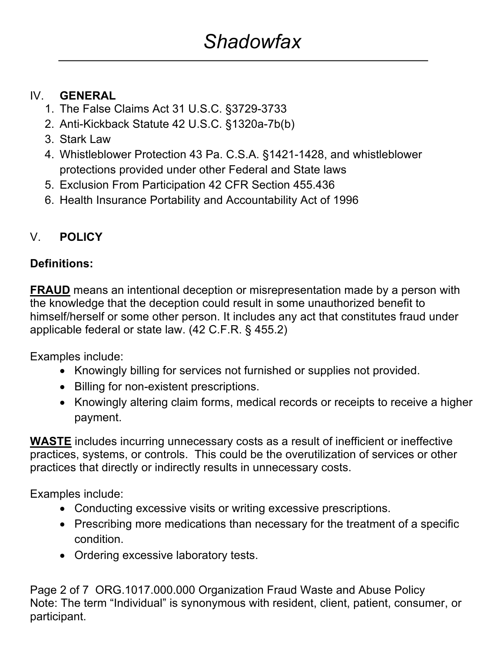#### IV. **GENERAL**

- 1. The False Claims Act 31 U.S.C. §3729-3733
- 2. Anti-Kickback Statute 42 U.S.C. §1320a-7b(b)
- 3. Stark Law
- 4. Whistleblower Protection 43 Pa. C.S.A. §1421-1428, and whistleblower protections provided under other Federal and State laws
- 5. Exclusion From Participation 42 CFR Section 455.436
- 6. Health Insurance Portability and Accountability Act of 1996

# V. **POLICY**

# **Definitions:**

**FRAUD** means an intentional deception or misrepresentation made by a person with the knowledge that the deception could result in some unauthorized benefit to himself/herself or some other person. It includes any act that constitutes fraud under applicable federal or state law. (42 C.F.R. § 455.2)

Examples include:

- Knowingly billing for services not furnished or supplies not provided.
- Billing for non-existent prescriptions.
- Knowingly altering claim forms, medical records or receipts to receive a higher payment.

**WASTE** includes incurring unnecessary costs as a result of inefficient or ineffective practices, systems, or controls. This could be the overutilization of services or other practices that directly or indirectly results in unnecessary costs.

Examples include:

- Conducting excessive visits or writing excessive prescriptions.
- Prescribing more medications than necessary for the treatment of a specific condition.
- Ordering excessive laboratory tests.

Page 2 of 7 ORG.1017.000.000 Organization Fraud Waste and Abuse Policy Note: The term "Individual" is synonymous with resident, client, patient, consumer, or participant.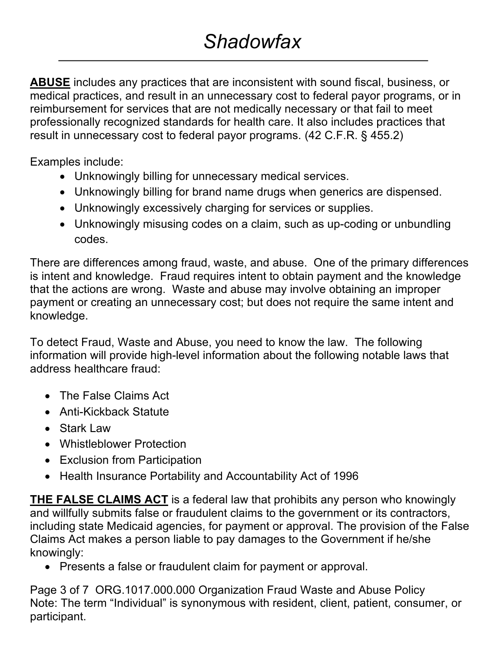**ABUSE** includes any practices that are inconsistent with sound fiscal, business, or medical practices, and result in an unnecessary cost to federal payor programs, or in reimbursement for services that are not medically necessary or that fail to meet professionally recognized standards for health care. It also includes practices that result in unnecessary cost to federal payor programs. (42 C.F.R. § 455.2)

Examples include:

- Unknowingly billing for unnecessary medical services.
- Unknowingly billing for brand name drugs when generics are dispensed.
- Unknowingly excessively charging for services or supplies.
- Unknowingly misusing codes on a claim, such as up-coding or unbundling codes.

There are differences among fraud, waste, and abuse. One of the primary differences is intent and knowledge. Fraud requires intent to obtain payment and the knowledge that the actions are wrong. Waste and abuse may involve obtaining an improper payment or creating an unnecessary cost; but does not require the same intent and knowledge.

To detect Fraud, Waste and Abuse, you need to know the law. The following information will provide high-level information about the following notable laws that address healthcare fraud:

- The False Claims Act
- Anti-Kickback Statute
- Stark Law
- Whistleblower Protection
- Exclusion from Participation
- Health Insurance Portability and Accountability Act of 1996

**THE FALSE CLAIMS ACT** is a federal law that prohibits any person who knowingly and willfully submits false or fraudulent claims to the government or its contractors, including state Medicaid agencies, for payment or approval. The provision of the False Claims Act makes a person liable to pay damages to the Government if he/she knowingly:

• Presents a false or fraudulent claim for payment or approval.

Page 3 of 7 ORG.1017.000.000 Organization Fraud Waste and Abuse Policy Note: The term "Individual" is synonymous with resident, client, patient, consumer, or participant.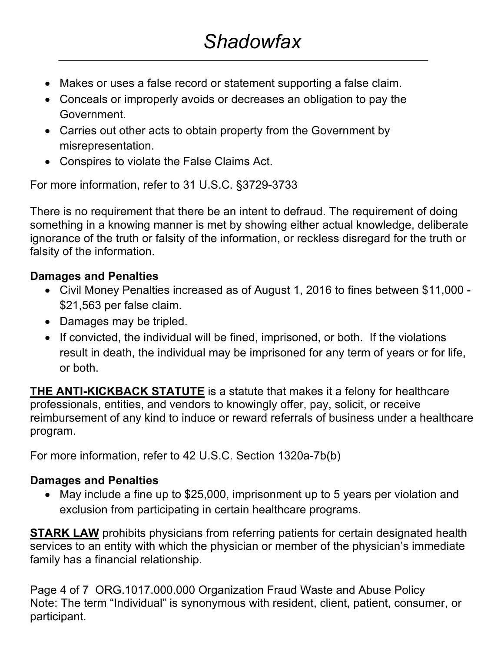- Makes or uses a false record or statement supporting a false claim.
- Conceals or improperly avoids or decreases an obligation to pay the Government.
- Carries out other acts to obtain property from the Government by misrepresentation.
- Conspires to violate the False Claims Act.

For more information, refer to 31 U.S.C. §3729-3733

There is no requirement that there be an intent to defraud. The requirement of doing something in a knowing manner is met by showing either actual knowledge, deliberate ignorance of the truth or falsity of the information, or reckless disregard for the truth or falsity of the information.

### **Damages and Penalties**

- Civil Money Penalties increased as of August 1, 2016 to fines between \$11,000 \$21,563 per false claim.
- Damages may be tripled.
- If convicted, the individual will be fined, imprisoned, or both. If the violations result in death, the individual may be imprisoned for any term of years or for life, or both.

**THE ANTI-KICKBACK STATUTE** is a statute that makes it a felony for healthcare professionals, entities, and vendors to knowingly offer, pay, solicit, or receive reimbursement of any kind to induce or reward referrals of business under a healthcare program.

For more information, refer to 42 U.S.C. Section 1320a-7b(b)

#### **Damages and Penalties**

• May include a fine up to \$25,000, imprisonment up to 5 years per violation and exclusion from participating in certain healthcare programs.

**STARK LAW** prohibits physicians from referring patients for certain designated health services to an entity with which the physician or member of the physician's immediate family has a financial relationship.

Page 4 of 7 ORG.1017.000.000 Organization Fraud Waste and Abuse Policy Note: The term "Individual" is synonymous with resident, client, patient, consumer, or participant.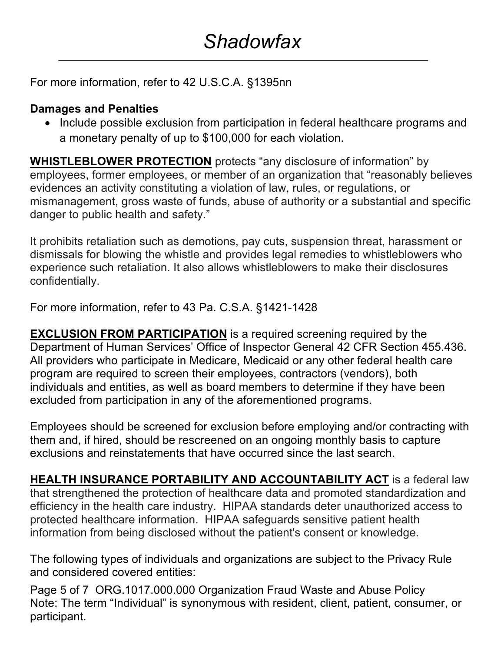For more information, refer to 42 U.S.C.A. §1395nn

#### **Damages and Penalties**

• Include possible exclusion from participation in federal healthcare programs and a monetary penalty of up to \$100,000 for each violation.

**WHISTLEBLOWER PROTECTION** protects "any disclosure of information" by employees, former employees, or member of an organization that "reasonably believes evidences an activity constituting a violation of law, rules, or regulations, or mismanagement, gross waste of funds, abuse of authority or a substantial and specific danger to public health and safety."

It prohibits retaliation such as demotions, pay cuts, suspension threat, harassment or dismissals for blowing the whistle and provides legal remedies to whistleblowers who experience such retaliation. It also allows whistleblowers to make their disclosures confidentially.

For more information, refer to 43 Pa. C.S.A. §1421-1428

**EXCLUSION FROM PARTICIPATION** is a required screening required by the Department of Human Services' Office of Inspector General 42 CFR Section 455.436. All providers who participate in Medicare, Medicaid or any other federal health care program are required to screen their employees, contractors (vendors), both individuals and entities, as well as board members to determine if they have been excluded from participation in any of the aforementioned programs.

Employees should be screened for exclusion before employing and/or contracting with them and, if hired, should be rescreened on an ongoing monthly basis to capture exclusions and reinstatements that have occurred since the last search.

**HEALTH INSURANCE PORTABILITY AND ACCOUNTABILITY ACT** is a federal law that strengthened the protection of healthcare data and promoted standardization and efficiency in the health care industry. HIPAA standards deter unauthorized access to protected healthcare information. HIPAA safeguards sensitive patient health information from being disclosed without the patient's consent or knowledge.

The following types of individuals and organizations are subject to the Privacy Rule and considered covered entities:

Page 5 of 7 ORG.1017.000.000 Organization Fraud Waste and Abuse Policy Note: The term "Individual" is synonymous with resident, client, patient, consumer, or participant.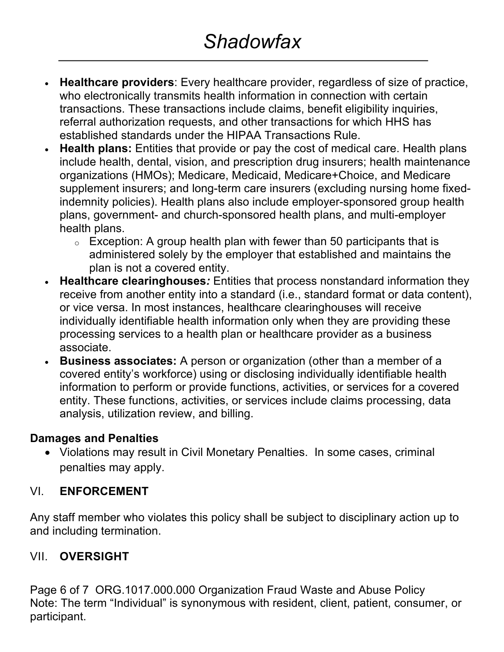- **Healthcare providers**: Every healthcare provider, regardless of size of practice, who electronically transmits health information in connection with certain transactions. These transactions include claims, benefit eligibility inquiries, referral authorization requests, and other transactions for which HHS has established standards under the HIPAA Transactions Rule.
- **Health plans:** Entities that provide or pay the cost of medical care. Health plans include health, dental, vision, and prescription drug insurers; health maintenance organizations (HMOs); Medicare, Medicaid, Medicare+Choice, and Medicare supplement insurers; and long-term care insurers (excluding nursing home fixedindemnity policies). Health plans also include employer-sponsored group health plans, government- and church-sponsored health plans, and multi-employer health plans.
	- $\circ$  Exception: A group health plan with fewer than 50 participants that is administered solely by the employer that established and maintains the plan is not a covered entity.
- **Healthcare clearinghouses***:* Entities that process nonstandard information they receive from another entity into a standard (i.e., standard format or data content), or vice versa. In most instances, healthcare clearinghouses will receive individually identifiable health information only when they are providing these processing services to a health plan or healthcare provider as a business associate.
- **Business associates:** A person or organization (other than a member of a covered entity's workforce) using or disclosing individually identifiable health information to perform or provide functions, activities, or services for a covered entity. These functions, activities, or services include claims processing, data analysis, utilization review, and billing.

#### **Damages and Penalties**

• Violations may result in Civil Monetary Penalties. In some cases, criminal penalties may apply.

#### VI. **ENFORCEMENT**

Any staff member who violates this policy shall be subject to disciplinary action up to and including termination.

# VII. **OVERSIGHT**

Page 6 of 7 ORG.1017.000.000 Organization Fraud Waste and Abuse Policy Note: The term "Individual" is synonymous with resident, client, patient, consumer, or participant.